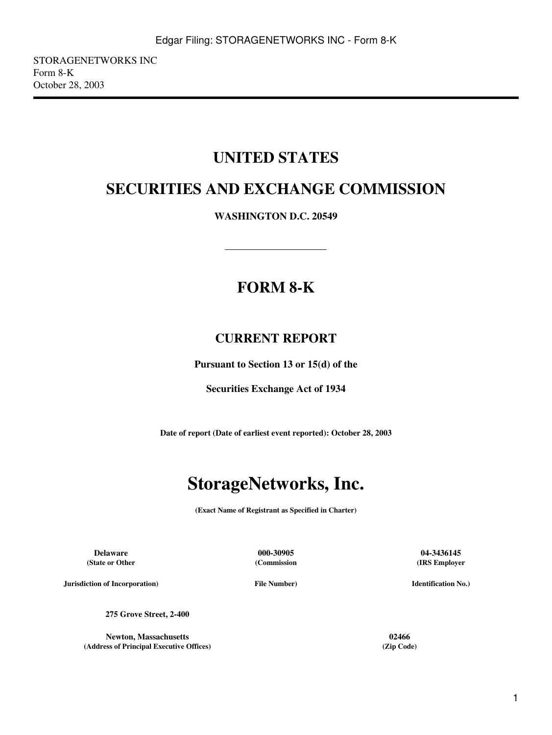## **UNITED STATES**

# **SECURITIES AND EXCHANGE COMMISSION**

**WASHINGTON D.C. 20549**

# **FORM 8-K**

## **CURRENT REPORT**

**Pursuant to Section 13 or 15(d) of the**

**Securities Exchange Act of 1934**

**Date of report (Date of earliest event reported): October 28, 2003**

# **StorageNetworks, Inc.**

**(Exact Name of Registrant as Specified in Charter)**

**(State or Other**

**(Commission**

**Delaware 000-30905 04-3436145 (IRS Employer**

**Jurisdiction of Incorporation)**

**File Number)**

**Identification No.)**

**275 Grove Street, 2-400**

**Newton, Massachusetts 02466 (Address of Principal Executive Offices) (Zip Code)**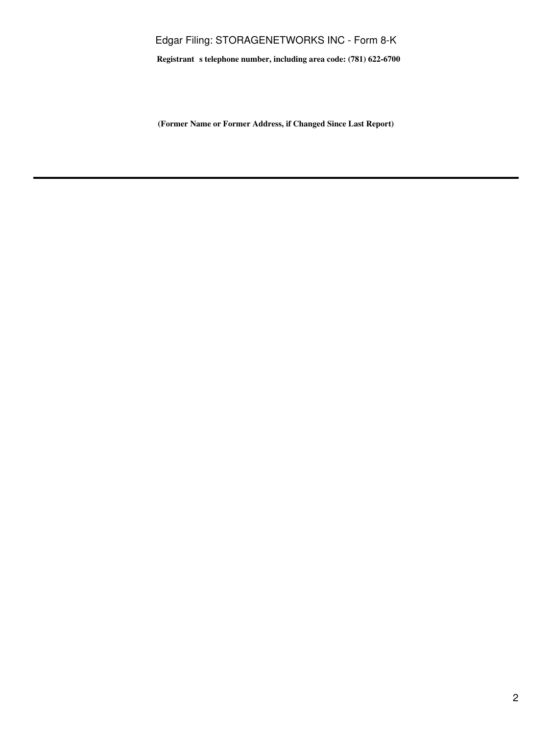### Edgar Filing: STORAGENETWORKS INC - Form 8-K

**Registrant** s telephone number, including area code: (781) 622-6700

**(Former Name or Former Address, if Changed Since Last Report)**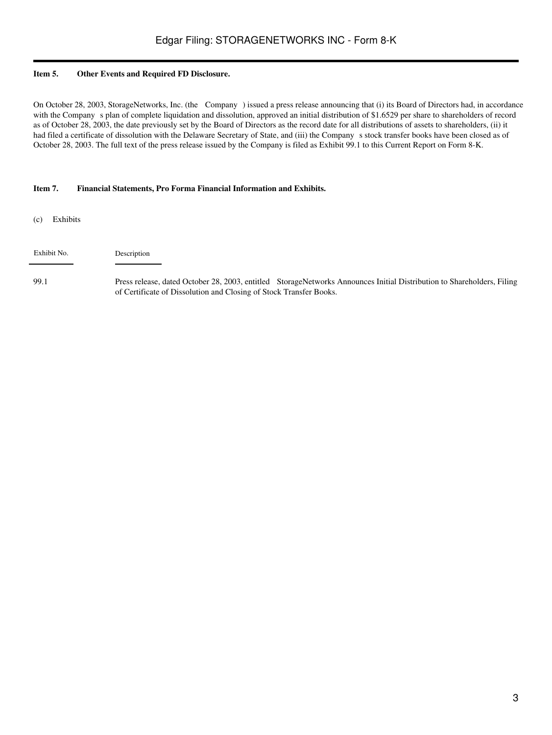#### **Item 5. Other Events and Required FD Disclosure.**

On October 28, 2003, StorageNetworks, Inc. (the Company) issued a press release announcing that (i) its Board of Directors had, in accordance with the Company s plan of complete liquidation and dissolution, approved an initial distribution of \$1.6529 per share to shareholders of record as of October 28, 2003, the date previously set by the Board of Directors as the record date for all distributions of assets to shareholders, (ii) it had filed a certificate of dissolution with the Delaware Secretary of State, and (iii) the Company s stock transfer books have been closed as of October 28, 2003. The full text of the press release issued by the Company is filed as Exhibit 99.1 to this Current Report on Form 8-K.

#### **Item 7. Financial Statements, Pro Forma Financial Information and Exhibits.**

(c) Exhibits

| Exhibit No. | Description |
|-------------|-------------|
|-------------|-------------|

99.1 Press release, dated October 28, 2003, entitled StorageNetworks Announces Initial Distribution to Shareholders, Filing of Certificate of Dissolution and Closing of Stock Transfer Books.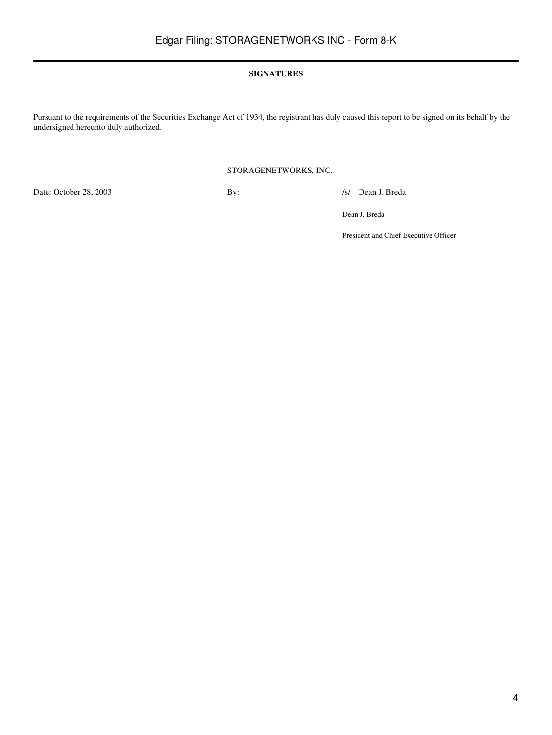#### **SIGNATURES**

Pursuant to the requirements of the Securities Exchange Act of 1934, the registrant has duly caused this report to be signed on its behalf by the undersigned hereunto duly authorized.

#### STORAGENETWORKS, INC.

Date: October 28, 2003 By: /s/ Dean J. Breda

Dean J. Breda

President and Chief Executive Officer